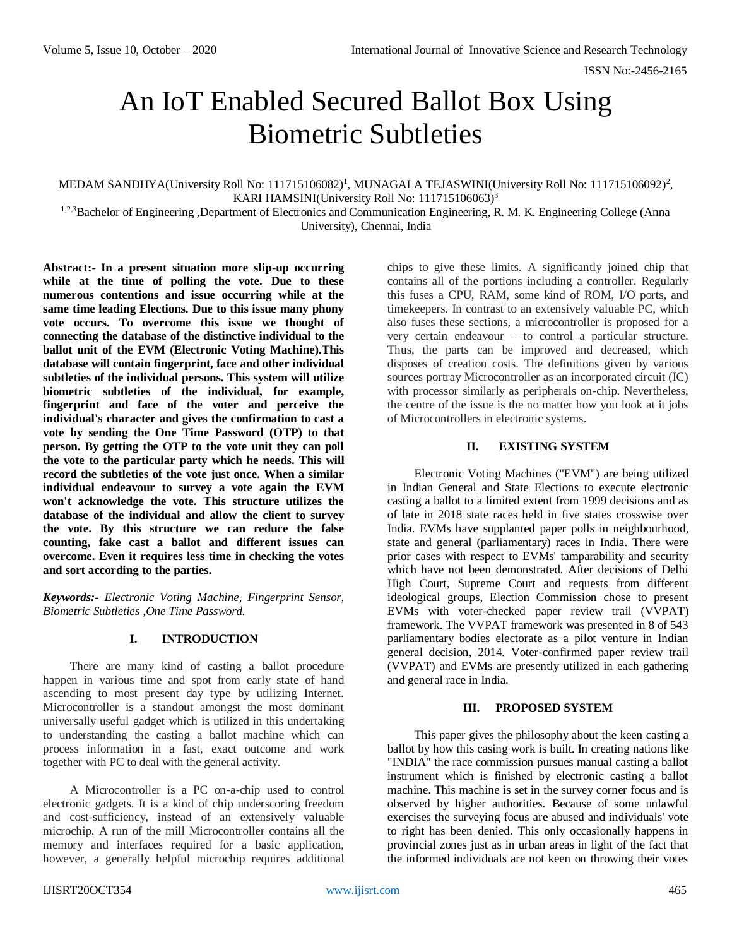# An IoT Enabled Secured Ballot Box Using Biometric Subtleties

MEDAM SANDHYA(University Roll No: 111715106082)<sup>1</sup>, MUNAGALA TEJASWINI(University Roll No: 111715106092)<sup>2</sup>, KARI HAMSINI(University Roll No: 111715106063)<sup>3</sup>

1,2,3 Bachelor of Engineering , Department of Electronics and Communication Engineering, R. M. K. Engineering College (Anna University), Chennai, India

**Abstract:- In a present situation more slip-up occurring while at the time of polling the vote. Due to these numerous contentions and issue occurring while at the same time leading Elections. Due to this issue many phony vote occurs. To overcome this issue we thought of connecting the database of the distinctive individual to the ballot unit of the EVM (Electronic Voting Machine).This database will contain fingerprint, face and other individual subtleties of the individual persons. This system will utilize biometric subtleties of the individual, for example, fingerprint and face of the voter and perceive the individual's character and gives the confirmation to cast a vote by sending the One Time Password (OTP) to that person. By getting the OTP to the vote unit they can poll the vote to the particular party which he needs. This will record the subtleties of the vote just once. When a similar individual endeavour to survey a vote again the EVM won't acknowledge the vote. This structure utilizes the database of the individual and allow the client to survey the vote. By this structure we can reduce the false counting, fake cast a ballot and different issues can overcome. Even it requires less time in checking the votes and sort according to the parties.**

*Keywords:- Electronic Voting Machine, Fingerprint Sensor, Biometric Subtleties ,One Time Password.* 

#### **I. INTRODUCTION**

There are many kind of casting a ballot procedure happen in various time and spot from early state of hand ascending to most present day type by utilizing Internet. Microcontroller is a standout amongst the most dominant universally useful gadget which is utilized in this undertaking to understanding the casting a ballot machine which can process information in a fast, exact outcome and work together with PC to deal with the general activity.

A Microcontroller is a PC on-a-chip used to control electronic gadgets. It is a kind of chip underscoring freedom and cost-sufficiency, instead of an extensively valuable microchip. A run of the mill Microcontroller contains all the memory and interfaces required for a basic application, however, a generally helpful microchip requires additional

chips to give these limits. A significantly joined chip that contains all of the portions including a controller. Regularly this fuses a CPU, RAM, some kind of ROM, I/O ports, and timekeepers. In contrast to an extensively valuable PC, which also fuses these sections, a microcontroller is proposed for a very certain endeavour – to control a particular structure. Thus, the parts can be improved and decreased, which disposes of creation costs. The definitions given by various sources portray Microcontroller as an incorporated circuit (IC) with processor similarly as peripherals on-chip. Nevertheless, the centre of the issue is the no matter how you look at it jobs of Microcontrollers in electronic systems.

# **II. EXISTING SYSTEM**

Electronic Voting Machines ("EVM") are being utilized in Indian General and State Elections to execute electronic casting a ballot to a limited extent from 1999 decisions and as of late in 2018 state races held in five states crosswise over India. EVMs have supplanted paper polls in neighbourhood, state and general (parliamentary) races in India. There were prior cases with respect to EVMs' tamparability and security which have not been demonstrated. After decisions of Delhi High Court, Supreme Court and requests from different ideological groups, Election Commission chose to present EVMs with voter-checked paper review trail (VVPAT) framework. The VVPAT framework was presented in 8 of 543 parliamentary bodies electorate as a pilot venture in Indian general decision, 2014. Voter-confirmed paper review trail (VVPAT) and EVMs are presently utilized in each gathering and general race in India.

#### **III. PROPOSED SYSTEM**

This paper gives the philosophy about the keen casting a ballot by how this casing work is built. In creating nations like "INDIA" the race commission pursues manual casting a ballot instrument which is finished by electronic casting a ballot machine. This machine is set in the survey corner focus and is observed by higher authorities. Because of some unlawful exercises the surveying focus are abused and individuals' vote to right has been denied. This only occasionally happens in provincial zones just as in urban areas in light of the fact that the informed individuals are not keen on throwing their votes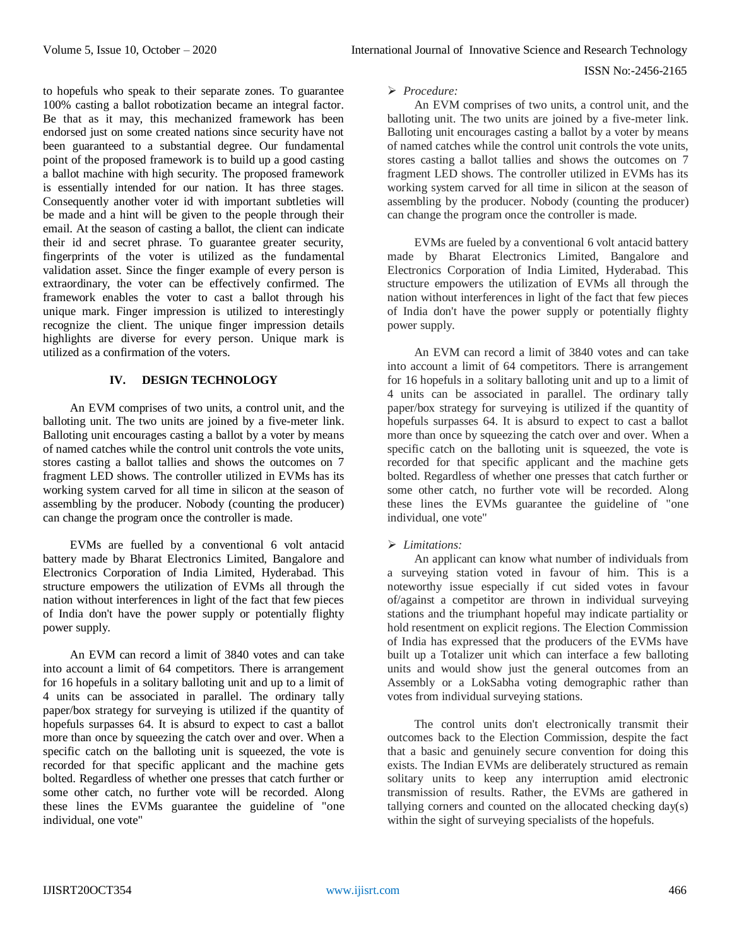ISSN No:-2456-2165

to hopefuls who speak to their separate zones. To guarantee 100% casting a ballot robotization became an integral factor. Be that as it may, this mechanized framework has been endorsed just on some created nations since security have not been guaranteed to a substantial degree. Our fundamental point of the proposed framework is to build up a good casting a ballot machine with high security. The proposed framework is essentially intended for our nation. It has three stages. Consequently another voter id with important subtleties will be made and a hint will be given to the people through their email. At the season of casting a ballot, the client can indicate their id and secret phrase. To guarantee greater security, fingerprints of the voter is utilized as the fundamental validation asset. Since the finger example of every person is extraordinary, the voter can be effectively confirmed. The framework enables the voter to cast a ballot through his unique mark. Finger impression is utilized to interestingly recognize the client. The unique finger impression details highlights are diverse for every person. Unique mark is utilized as a confirmation of the voters.

## **IV. DESIGN TECHNOLOGY**

An EVM comprises of two units, a control unit, and the balloting unit. The two units are joined by a five-meter link. Balloting unit encourages casting a ballot by a voter by means of named catches while the control unit controls the vote units, stores casting a ballot tallies and shows the outcomes on 7 fragment LED shows. The controller utilized in EVMs has its working system carved for all time in silicon at the season of assembling by the producer. Nobody (counting the producer) can change the program once the controller is made.

EVMs are fuelled by a conventional 6 volt antacid battery made by Bharat Electronics Limited, Bangalore and Electronics Corporation of India Limited, Hyderabad. This structure empowers the utilization of EVMs all through the nation without interferences in light of the fact that few pieces of India don't have the power supply or potentially flighty power supply.

An EVM can record a limit of 3840 votes and can take into account a limit of 64 competitors. There is arrangement for 16 hopefuls in a solitary balloting unit and up to a limit of 4 units can be associated in parallel. The ordinary tally paper/box strategy for surveying is utilized if the quantity of hopefuls surpasses 64. It is absurd to expect to cast a ballot more than once by squeezing the catch over and over. When a specific catch on the balloting unit is squeezed, the vote is recorded for that specific applicant and the machine gets bolted. Regardless of whether one presses that catch further or some other catch, no further vote will be recorded. Along these lines the EVMs guarantee the guideline of "one individual, one vote"

### *Procedure:*

An EVM comprises of two units, a control unit, and the balloting unit. The two units are joined by a five-meter link. Balloting unit encourages casting a ballot by a voter by means of named catches while the control unit controls the vote units, stores casting a ballot tallies and shows the outcomes on 7 fragment LED shows. The controller utilized in EVMs has its working system carved for all time in silicon at the season of assembling by the producer. Nobody (counting the producer) can change the program once the controller is made.

EVMs are fueled by a conventional 6 volt antacid battery made by Bharat Electronics Limited, Bangalore and Electronics Corporation of India Limited, Hyderabad. This structure empowers the utilization of EVMs all through the nation without interferences in light of the fact that few pieces of India don't have the power supply or potentially flighty power supply.

An EVM can record a limit of 3840 votes and can take into account a limit of 64 competitors. There is arrangement for 16 hopefuls in a solitary balloting unit and up to a limit of 4 units can be associated in parallel. The ordinary tally paper/box strategy for surveying is utilized if the quantity of hopefuls surpasses 64. It is absurd to expect to cast a ballot more than once by squeezing the catch over and over. When a specific catch on the balloting unit is squeezed, the vote is recorded for that specific applicant and the machine gets bolted. Regardless of whether one presses that catch further or some other catch, no further vote will be recorded. Along these lines the EVMs guarantee the guideline of "one individual, one vote"

## *Limitations:*

An applicant can know what number of individuals from a surveying station voted in favour of him. This is a noteworthy issue especially if cut sided votes in favour of/against a competitor are thrown in individual surveying stations and the triumphant hopeful may indicate partiality or hold resentment on explicit regions. The Election Commission of India has expressed that the producers of the EVMs have built up a Totalizer unit which can interface a few balloting units and would show just the general outcomes from an Assembly or a LokSabha voting demographic rather than votes from individual surveying stations.

The control units don't electronically transmit their outcomes back to the Election Commission, despite the fact that a basic and genuinely secure convention for doing this exists. The Indian EVMs are deliberately structured as remain solitary units to keep any interruption amid electronic transmission of results. Rather, the EVMs are gathered in tallying corners and counted on the allocated checking day(s) within the sight of surveying specialists of the hopefuls.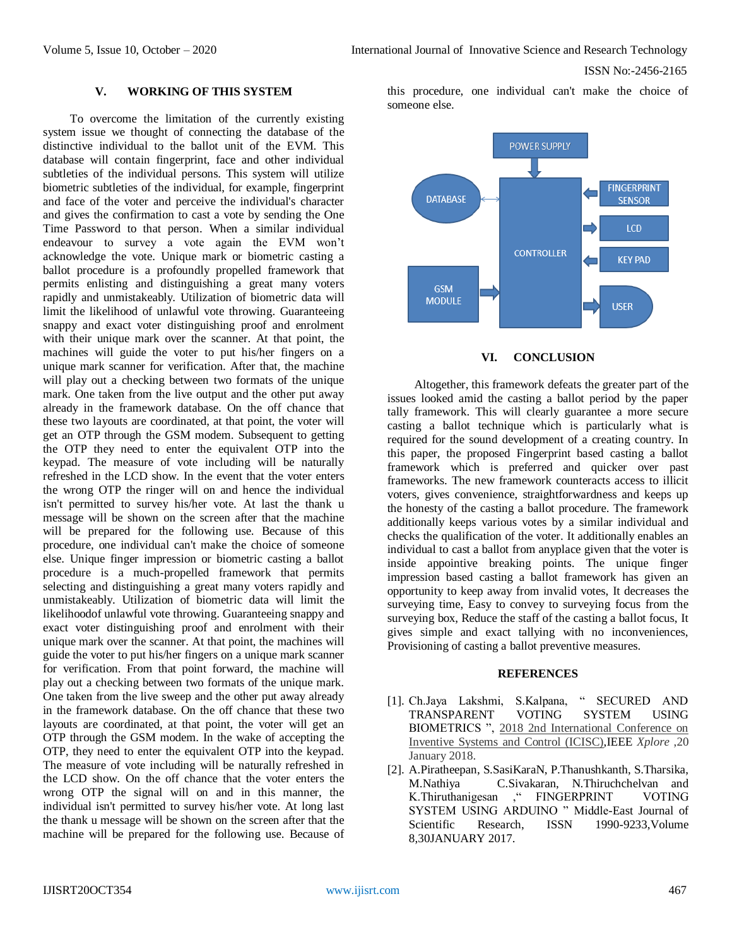## **V. WORKING OF THIS SYSTEM**

To overcome the limitation of the currently existing system issue we thought of connecting the database of the distinctive individual to the ballot unit of the EVM. This database will contain fingerprint, face and other individual subtleties of the individual persons. This system will utilize biometric subtleties of the individual, for example, fingerprint and face of the voter and perceive the individual's character and gives the confirmation to cast a vote by sending the One Time Password to that person. When a similar individual endeavour to survey a vote again the EVM won't acknowledge the vote. Unique mark or biometric casting a ballot procedure is a profoundly propelled framework that permits enlisting and distinguishing a great many voters rapidly and unmistakeably. Utilization of biometric data will limit the likelihood of unlawful vote throwing. Guaranteeing snappy and exact voter distinguishing proof and enrolment with their unique mark over the scanner. At that point, the machines will guide the voter to put his/her fingers on a unique mark scanner for verification. After that, the machine will play out a checking between two formats of the unique mark. One taken from the live output and the other put away already in the framework database. On the off chance that these two layouts are coordinated, at that point, the voter will get an OTP through the GSM modem. Subsequent to getting the OTP they need to enter the equivalent OTP into the keypad. The measure of vote including will be naturally refreshed in the LCD show. In the event that the voter enters the wrong OTP the ringer will on and hence the individual isn't permitted to survey his/her vote. At last the thank u message will be shown on the screen after that the machine will be prepared for the following use. Because of this procedure, one individual can't make the choice of someone else. Unique finger impression or biometric casting a ballot procedure is a much-propelled framework that permits selecting and distinguishing a great many voters rapidly and unmistakeably. Utilization of biometric data will limit the likelihoodof unlawful vote throwing. Guaranteeing snappy and exact voter distinguishing proof and enrolment with their unique mark over the scanner. At that point, the machines will guide the voter to put his/her fingers on a unique mark scanner for verification. From that point forward, the machine will play out a checking between two formats of the unique mark. One taken from the live sweep and the other put away already in the framework database. On the off chance that these two layouts are coordinated, at that point, the voter will get an OTP through the GSM modem. In the wake of accepting the OTP, they need to enter the equivalent OTP into the keypad. The measure of vote including will be naturally refreshed in the LCD show. On the off chance that the voter enters the wrong OTP the signal will on and in this manner, the individual isn't permitted to survey his/her vote. At long last the thank u message will be shown on the screen after that the machine will be prepared for the following use. Because of

this procedure, one individual can't make the choice of someone else.





Altogether, this framework defeats the greater part of the issues looked amid the casting a ballot period by the paper tally framework. This will clearly guarantee a more secure casting a ballot technique which is particularly what is required for the sound development of a creating country. In this paper, the proposed Fingerprint based casting a ballot framework which is preferred and quicker over past frameworks. The new framework counteracts access to illicit voters, gives convenience, straightforwardness and keeps up the honesty of the casting a ballot procedure. The framework additionally keeps various votes by a similar individual and checks the qualification of the voter. It additionally enables an individual to cast a ballot from anyplace given that the voter is inside appointive breaking points. The unique finger impression based casting a ballot framework has given an opportunity to keep away from invalid votes, It decreases the surveying time, Easy to convey to surveying focus from the surveying box, Reduce the staff of the casting a ballot focus, It gives simple and exact tallying with no inconveniences, Provisioning of casting a ballot preventive measures.

#### **REFERENCES**

- [1]. Ch.Jaya Lakshmi, S.Kalpana, " SECURED AND TRANSPARENT VOTING SYSTEM USING BIOMETRICS ", [2018 2nd International Conference on](https://ieeexplore.ieee.org/xpl/mostRecentIssue.jsp?punumber=8390718)  [Inventive Systems and Control \(ICISC\),](https://ieeexplore.ieee.org/xpl/mostRecentIssue.jsp?punumber=8390718)IEEE *Xplore* ,20 January 2018.
- [2]. A.Piratheepan, S.SasiKaraN, P.Thanushkanth, S.Tharsika, M.Nathiya C.Sivakaran, N.Thiruchchelvan and K.Thiruthanigesan ," FINGERPRINT VOTING SYSTEM USING ARDUINO " Middle-East Journal of Scientific Research, ISSN 1990-9233, Volume 8,30JANUARY 2017.